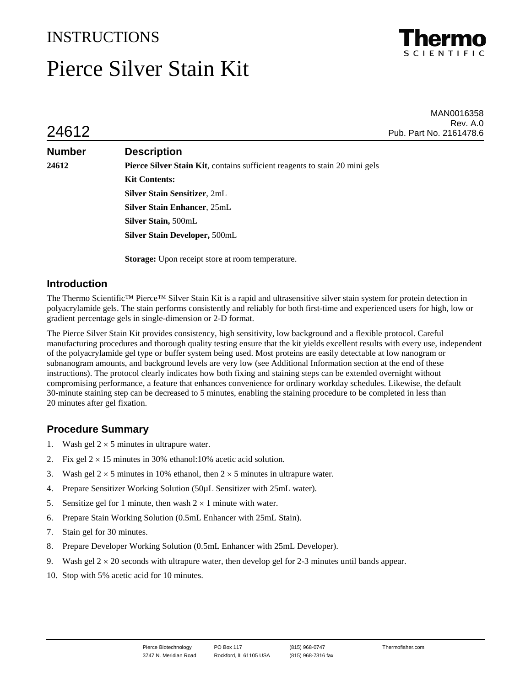# INSTRUCTIONS

# Pierce Silver Stain Kit



|       | MAN0016358              |
|-------|-------------------------|
|       | Rev. A.0                |
| 24612 | Pub. Part No. 2161478.6 |
|       |                         |

# **Number Description 24612 Pierce Silver Stain Kit**, contains sufficient reagents to stain 20 mini gels **Kit Contents: Silver Stain Sensitizer**, 2mL **Silver Stain Enhancer**, 25mL **Silver Stain,** 500mL **Silver Stain Developer,** 500mL

**Storage:** Upon receipt store at room temperature.

### **Introduction**

The Thermo Scientific™ Pierce™ Silver Stain Kit is a rapid and ultrasensitive silver stain system for protein detection in polyacrylamide gels. The stain performs consistently and reliably for both first-time and experienced users for high, low or gradient percentage gels in single-dimension or 2-D format.

The Pierce Silver Stain Kit provides consistency, high sensitivity, low background and a flexible protocol. Careful manufacturing procedures and thorough quality testing ensure that the kit yields excellent results with every use, independent of the polyacrylamide gel type or buffer system being used. Most proteins are easily detectable at low nanogram or subnanogram amounts, and background levels are very low (see Additional Information section at the end of these instructions). The protocol clearly indicates how both fixing and staining steps can be extended overnight without compromising performance, a feature that enhances convenience for ordinary workday schedules. Likewise, the default 30-minute staining step can be decreased to 5 minutes, enabling the staining procedure to be completed in less than 20 minutes after gel fixation.

## **Procedure Summary**

- 1. Wash gel  $2 \times 5$  minutes in ultrapure water.
- 2. Fix gel  $2 \times 15$  minutes in 30% ethanol:10% acetic acid solution.
- 3. Wash gel  $2 \times 5$  minutes in 10% ethanol, then  $2 \times 5$  minutes in ultrapure water.
- 4. Prepare Sensitizer Working Solution (50µL Sensitizer with 25mL water).
- 5. Sensitize gel for 1 minute, then wash  $2 \times 1$  minute with water.
- 6. Prepare Stain Working Solution (0.5mL Enhancer with 25mL Stain).
- 7. Stain gel for 30 minutes.
- 8. Prepare Developer Working Solution (0.5mL Enhancer with 25mL Developer).
- 9. Wash gel  $2 \times 20$  seconds with ultrapure water, then develop gel for 2-3 minutes until bands appear.
- 10. Stop with 5% acetic acid for 10 minutes.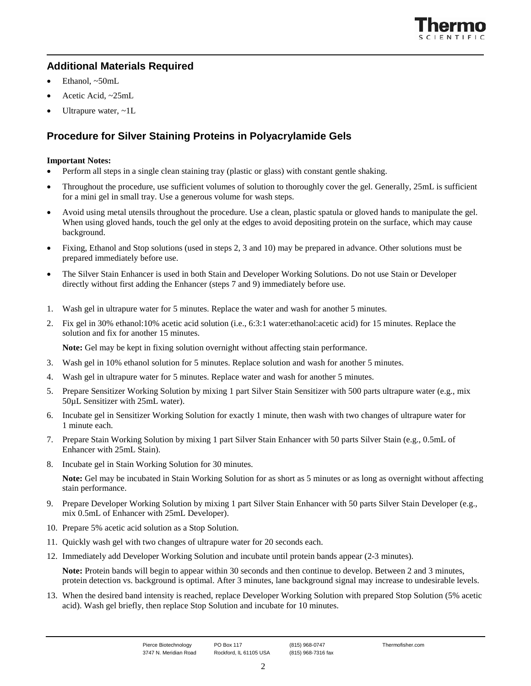

## **Additional Materials Required**

- Ethanol, ~50mL
- Acetic Acid, ~25mL
- Ultrapure water,  $\sim$ 1L

# **Procedure for Silver Staining Proteins in Polyacrylamide Gels**

#### **Important Notes:**

- Perform all steps in a single clean staining tray (plastic or glass) with constant gentle shaking.
- Throughout the procedure, use sufficient volumes of solution to thoroughly cover the gel. Generally, 25mL is sufficient for a mini gel in small tray. Use a generous volume for wash steps.
- Avoid using metal utensils throughout the procedure. Use a clean, plastic spatula or gloved hands to manipulate the gel. When using gloved hands, touch the gel only at the edges to avoid depositing protein on the surface, which may cause background.
- Fixing, Ethanol and Stop solutions (used in steps 2, 3 and 10) may be prepared in advance. Other solutions must be prepared immediately before use.
- The Silver Stain Enhancer is used in both Stain and Developer Working Solutions. Do not use Stain or Developer directly without first adding the Enhancer (steps 7 and 9) immediately before use.
- 1. Wash gel in ultrapure water for 5 minutes. Replace the water and wash for another 5 minutes.
- 2. Fix gel in 30% ethanol:10% acetic acid solution (i.e., 6:3:1 water:ethanol:acetic acid) for 15 minutes. Replace the solution and fix for another 15 minutes.

**Note:** Gel may be kept in fixing solution overnight without affecting stain performance.

- 3. Wash gel in 10% ethanol solution for 5 minutes. Replace solution and wash for another 5 minutes.
- 4. Wash gel in ultrapure water for 5 minutes. Replace water and wash for another 5 minutes.
- 5. Prepare Sensitizer Working Solution by mixing 1 part Silver Stain Sensitizer with 500 parts ultrapure water (e.g., mix 50µL Sensitizer with 25mL water).
- 6. Incubate gel in Sensitizer Working Solution for exactly 1 minute, then wash with two changes of ultrapure water for 1 minute each.
- 7. Prepare Stain Working Solution by mixing 1 part Silver Stain Enhancer with 50 parts Silver Stain (e.g., 0.5mL of Enhancer with 25mL Stain).
- 8. Incubate gel in Stain Working Solution for 30 minutes.

**Note:** Gel may be incubated in Stain Working Solution for as short as 5 minutes or as long as overnight without affecting stain performance.

- 9. Prepare Developer Working Solution by mixing 1 part Silver Stain Enhancer with 50 parts Silver Stain Developer (e.g., mix 0.5mL of Enhancer with 25mL Developer).
- 10. Prepare 5% acetic acid solution as a Stop Solution.
- 11. Quickly wash gel with two changes of ultrapure water for 20 seconds each.
- 12. Immediately add Developer Working Solution and incubate until protein bands appear (2-3 minutes).

**Note:** Protein bands will begin to appear within 30 seconds and then continue to develop. Between 2 and 3 minutes, protein detection vs. background is optimal. After 3 minutes, lane background signal may increase to undesirable levels.

13. When the desired band intensity is reached, replace Developer Working Solution with prepared Stop Solution (5% acetic acid). Wash gel briefly, then replace Stop Solution and incubate for 10 minutes.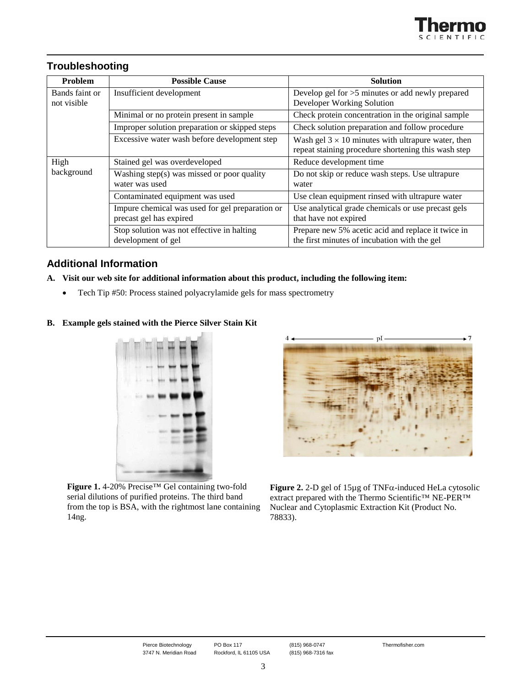

# **Troubleshooting**

| Problem                       | <b>Possible Cause</b>                                                      | Solution                                                                                                         |
|-------------------------------|----------------------------------------------------------------------------|------------------------------------------------------------------------------------------------------------------|
| Bands faint or<br>not visible | Insufficient development                                                   | Develop gel for >5 minutes or add newly prepared<br>Developer Working Solution                                   |
|                               | Minimal or no protein present in sample                                    | Check protein concentration in the original sample                                                               |
|                               | Improper solution preparation or skipped steps                             | Check solution preparation and follow procedure                                                                  |
|                               | Excessive water wash before development step                               | Wash gel $3 \times 10$ minutes with ultrapure water, then<br>repeat staining procedure shortening this wash step |
| High<br>background            | Stained gel was overdeveloped                                              | Reduce development time                                                                                          |
|                               | Washing step(s) was missed or poor quality<br>water was used               | Do not skip or reduce wash steps. Use ultrapure<br>water                                                         |
|                               | Contaminated equipment was used                                            | Use clean equipment rinsed with ultrapure water                                                                  |
|                               | Impure chemical was used for gel preparation or<br>precast gel has expired | Use analytical grade chemicals or use precast gels<br>that have not expired                                      |
|                               | Stop solution was not effective in halting<br>development of gel           | Prepare new 5% acetic acid and replace it twice in<br>the first minutes of incubation with the gel               |

# **Additional Information**

#### **A. Visit our web site for additional information about this product, including the following item:**

• Tech Tip #50: Process stained polyacrylamide gels for mass spectrometry

#### **B. Example gels stained with the Pierce Silver Stain Kit**



**Figure 1.** 4-20% Precise™ Gel containing two-fold serial dilutions of purified proteins. The third band from the top is BSA, with the rightmost lane containing 14ng.



**Figure 2.** 2-D gel of 15µg of TNFα-induced HeLa cytosolic extract prepared with the Thermo Scientific™ NE-PER™ Nuclear and Cytoplasmic Extraction Kit (Product No. 78833).